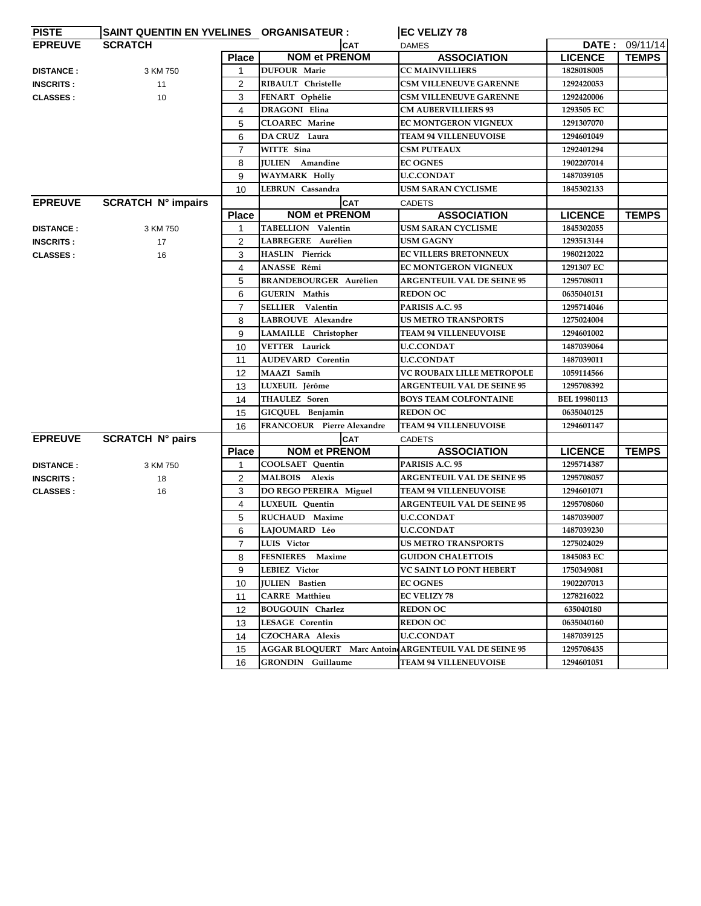| <b>PISTE</b>     | SAINT QUENTIN EN YVELINES ORGANISATEUR : |                |                               | <b>EC VELIZY 78</b>                                   |                     |                |
|------------------|------------------------------------------|----------------|-------------------------------|-------------------------------------------------------|---------------------|----------------|
| <b>EPREUVE</b>   | <b>SCRATCH</b>                           |                | <b>CAT</b>                    | <b>DAMES</b>                                          |                     | DATE: 09/11/14 |
|                  |                                          | Place          | <b>NOM et PRENOM</b>          | <b>ASSOCIATION</b>                                    | <b>LICENCE</b>      | <b>TEMPS</b>   |
| <b>DISTANCE:</b> | 3 KM 750                                 | 1              | <b>DUFOUR Marie</b>           | <b>CC MAINVILLIERS</b>                                | 1828018005          |                |
| <b>INSCRITS:</b> | 11                                       | $\overline{2}$ | RIBAULT Christelle            | <b>CSM VILLENEUVE GARENNE</b>                         | 1292420053          |                |
| <b>CLASSES:</b>  | 10                                       | 3              | FENART Ophélie                | <b>CSM VILLENEUVE GARENNE</b>                         | 1292420006          |                |
|                  |                                          | 4              | <b>DRAGONI Elina</b>          | <b>CM AUBERVILLIERS 93</b>                            | 1293505 EC          |                |
|                  |                                          | 5              | <b>CLOAREC</b> Marine         | <b>EC MONTGERON VIGNEUX</b>                           | 1291307070          |                |
|                  |                                          | 6              | DA CRUZ Laura                 | <b>TEAM 94 VILLENEUVOISE</b>                          | 1294601049          |                |
|                  |                                          | 7              | WITTE Sina                    | <b>CSM PUTEAUX</b>                                    | 1292401294          |                |
|                  |                                          | 8              | <b>IULIEN</b> Amandine        | <b>EC OGNES</b>                                       | 1902207014          |                |
|                  |                                          | 9              | <b>WAYMARK Holly</b>          | <b>U.C.CONDAT</b>                                     | 1487039105          |                |
|                  |                                          | 10             | LEBRUN Cassandra              | <b>USM SARAN CYCLISME</b>                             | 1845302133          |                |
| <b>EPREUVE</b>   | <b>SCRATCH N° impairs</b>                |                | <b>CAT</b>                    | <b>CADETS</b>                                         |                     |                |
|                  |                                          | <b>Place</b>   | <b>NOM et PRENOM</b>          | <b>ASSOCIATION</b>                                    | <b>LICENCE</b>      | <b>TEMPS</b>   |
| <b>DISTANCE:</b> | 3 KM 750                                 | 1              | TABELLION Valentin            | <b>USM SARAN CYCLISME</b>                             | 1845302055          |                |
| <b>INSCRITS:</b> | 17                                       | $\overline{c}$ | LABREGERE Aurélien            | <b>USM GAGNY</b>                                      | 1293513144          |                |
| <b>CLASSES:</b>  | 16                                       | 3              | <b>HASLIN</b> Pierrick        | <b>EC VILLERS BRETONNEUX</b>                          | 1980212022          |                |
|                  |                                          | 4              | ANASSE Rémi                   | EC MONTGERON VIGNEUX                                  | 1291307 EC          |                |
|                  |                                          | 5              | <b>BRANDEBOURGER Aurélien</b> | <b>ARGENTEUIL VAL DE SEINE 95</b>                     | 1295708011          |                |
|                  |                                          | 6              | <b>GUERIN</b> Mathis          | <b>REDON OC</b>                                       | 0635040151          |                |
|                  |                                          | $\overline{7}$ | SELLIER Valentin              | PARISIS A.C. 95                                       | 1295714046          |                |
|                  |                                          | 8              | LABROUVE Alexandre            | <b>US METRO TRANSPORTS</b>                            | 1275024004          |                |
|                  |                                          | 9              | LAMAILLE Christopher          | <b>TEAM 94 VILLENEUVOISE</b>                          | 1294601002          |                |
|                  |                                          | 10             | <b>VETTER Laurick</b>         | <b>U.C.CONDAT</b>                                     | 1487039064          |                |
|                  |                                          | 11             | <b>AUDEVARD</b> Corentin      | <b>U.C.CONDAT</b>                                     | 1487039011          |                |
|                  |                                          | 12             | MAAZI Samîh                   | VC ROUBAIX LILLE METROPOLE                            | 1059114566          |                |
|                  |                                          | 13             | LUXEUIL Jérôme                | <b>ARGENTEUIL VAL DE SEINE 95</b>                     | 1295708392          |                |
|                  |                                          | 14             | <b>THAULEZ</b> Soren          | <b>BOYS TEAM COLFONTAINE</b>                          | <b>BEL 19980113</b> |                |
|                  |                                          | 15             | GICQUEL Benjamin              | <b>REDON OC</b>                                       | 0635040125          |                |
|                  |                                          | 16             | FRANCOEUR Pierre Alexandre    | <b>TEAM 94 VILLENEUVOISE</b>                          | 1294601147          |                |
| <b>EPREUVE</b>   | <b>SCRATCH N° pairs</b>                  |                | <b>CAT</b>                    | <b>CADETS</b>                                         |                     |                |
|                  |                                          | <b>Place</b>   | <b>NOM et PRENOM</b>          | <b>ASSOCIATION</b>                                    | <b>LICENCE</b>      | <b>TEMPS</b>   |
| <b>DISTANCE:</b> | 3 KM 750                                 | 1              | COOLSAET Quentin              | PARISIS A.C. 95                                       | 1295714387          |                |
| <b>INSCRITS:</b> | 18                                       | $\overline{2}$ | MALBOIS Alexis                | <b>ARGENTEUIL VAL DE SEINE 95</b>                     | 1295708057          |                |
| <b>CLASSES:</b>  | 16                                       | 3              | DO REGO PEREIRA Miguel        | <b>TEAM 94 VILLENEUVOISE</b>                          | 1294601071          |                |
|                  |                                          | 4              | LUXEUIL Quentin               | <b>ARGENTEUIL VAL DE SEINE 95</b>                     | 1295708060          |                |
|                  |                                          | 5              | RUCHAUD Maxime                | <b>U.C.CONDAT</b>                                     | 1487039007          |                |
|                  |                                          | 6              | LAJOUMARD Léo                 | <b>U.C.CONDAT</b>                                     | 1487039230          |                |
|                  |                                          | $\overline{7}$ | LUIS Victor                   | <b>US METRO TRANSPORTS</b>                            | 1275024029          |                |
|                  |                                          | 8              | FESNIERES Maxime              | <b>GUIDON CHALETTOIS</b>                              | 1845083 EC          |                |
|                  |                                          | 9              | LEBIEZ Victor                 | <b>VC SAINT LO PONT HEBERT</b>                        | 1750349081          |                |
|                  |                                          | 10             | <b>JULIEN</b> Bastien         | <b>EC OGNES</b>                                       | 1902207013          |                |
|                  |                                          | 11             | <b>CARRE</b> Matthieu         | <b>EC VELIZY 78</b>                                   | 1278216022          |                |
|                  |                                          | 12             | <b>BOUGOUIN Charlez</b>       | <b>REDON OC</b>                                       | 635040180           |                |
|                  |                                          | 13             | <b>LESAGE Corentin</b>        | <b>REDON OC</b>                                       | 0635040160          |                |
|                  |                                          | 14             | <b>CZOCHARA Alexis</b>        | <b>U.C.CONDAT</b>                                     | 1487039125          |                |
|                  |                                          | 15             |                               | AGGAR BLOQUERT Marc Antoin ARGENTEUIL VAL DE SEINE 95 | 1295708435          |                |
|                  |                                          | 16             | GRONDIN Guillaume             | <b>TEAM 94 VILLENEUVOISE</b>                          | 1294601051          |                |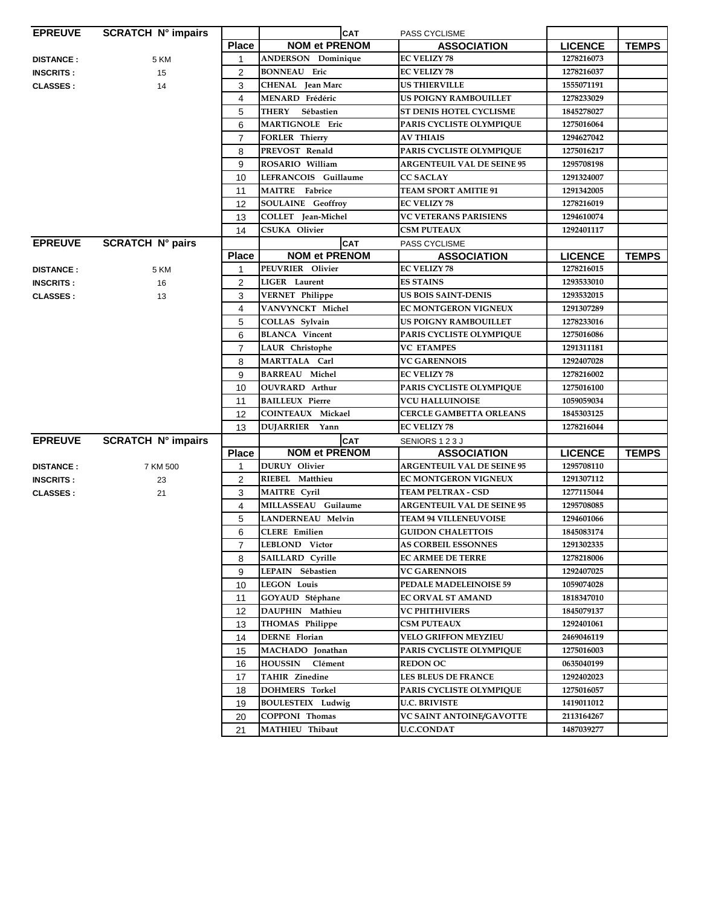| <b>EPREUVE</b>   | <b>SCRATCH N° impairs</b> |                  | <b>CAT</b>                | PASS CYCLISME                     |                |              |
|------------------|---------------------------|------------------|---------------------------|-----------------------------------|----------------|--------------|
|                  |                           | <b>Place</b>     | <b>NOM et PRENOM</b>      | <b>ASSOCIATION</b>                | <b>LICENCE</b> | <b>TEMPS</b> |
| <b>DISTANCE:</b> | 5 KM                      | 1                | <b>ANDERSON</b> Dominique | <b>EC VELIZY 78</b>               | 1278216073     |              |
| <b>INSCRITS:</b> | 15                        | $\overline{c}$   | <b>BONNEAU</b> Eric       | <b>EC VELIZY 78</b>               | 1278216037     |              |
| <b>CLASSES:</b>  | 14                        | 3                | <b>CHENAL</b> Jean Marc   | <b>US THIERVILLE</b>              | 1555071191     |              |
|                  |                           | 4                | MENARD Frédéric           | <b>US POIGNY RAMBOUILLET</b>      | 1278233029     |              |
|                  |                           | 5                | <b>THERY</b><br>Sébastien | ST DENIS HOTEL CYCLISME           | 1845278027     |              |
|                  |                           | 6                | MARTIGNOLE Eric           | PARIS CYCLISTE OLYMPIQUE          | 1275016064     |              |
|                  |                           | 7                | <b>FORLER Thierry</b>     | <b>AV THIAIS</b>                  | 1294627042     |              |
|                  |                           | 8                | PREVOST Renald            | PARIS CYCLISTE OLYMPIQUE          | 1275016217     |              |
|                  |                           | 9                | ROSARIO William           | <b>ARGENTEUIL VAL DE SEINE 95</b> | 1295708198     |              |
|                  |                           | 10               | LEFRANCOIS Guillaume      | <b>CC SACLAY</b>                  | 1291324007     |              |
|                  |                           | 11               | <b>MAITRE</b> Fabrice     | <b>TEAM SPORT AMITIE 91</b>       | 1291342005     |              |
|                  |                           | 12               | <b>SOULAINE</b> Geoffroy  | <b>EC VELIZY 78</b>               | 1278216019     |              |
|                  |                           | 13               | COLLET Jean-Michel        | <b>VC VETERANS PARISIENS</b>      | 1294610074     |              |
|                  |                           | 14               | <b>CSUKA Olivier</b>      | <b>CSM PUTEAUX</b>                | 1292401117     |              |
| <b>EPREUVE</b>   | <b>SCRATCH N° pairs</b>   |                  | <b>CAT</b>                | PASS CYCLISME                     |                |              |
|                  |                           | <b>Place</b>     | <b>NOM et PRENOM</b>      | <b>ASSOCIATION</b>                | <b>LICENCE</b> | <b>TEMPS</b> |
| <b>DISTANCE:</b> | 5 KM                      | 1                | PEUVRIER Olivier          | <b>EC VELIZY 78</b>               | 1278216015     |              |
| <b>INSCRITS:</b> | 16                        | 2                | LIGER Laurent             | <b>ES STAINS</b>                  | 1293533010     |              |
| <b>CLASSES:</b>  | 13                        | 3                | <b>VERNET Philippe</b>    | <b>US BOIS SAINT-DENIS</b>        | 1293532015     |              |
|                  |                           | 4                | VANVYNCKT Michel          | <b>EC MONTGERON VIGNEUX</b>       | 1291307289     |              |
|                  |                           | 5                | COLLAS Sylvain            | <b>US POIGNY RAMBOUILLET</b>      | 1278233016     |              |
|                  |                           | 6                | <b>BLANCA</b> Vincent     | PARIS CYCLISTE OLYMPIQUE          | 1275016086     |              |
|                  |                           | $\overline{7}$   | LAUR Christophe           | <b>VC ETAMPES</b>                 | 1291311181     |              |
|                  |                           | 8                | MARTTALA Carl             | <b>VC GARENNOIS</b>               | 1292407028     |              |
|                  |                           | $\boldsymbol{9}$ | <b>BARREAU Michel</b>     | <b>EC VELIZY 78</b>               | 1278216002     |              |
|                  |                           | 10               | <b>OUVRARD</b> Arthur     | PARIS CYCLISTE OLYMPIQUE          | 1275016100     |              |
|                  |                           | 11               | <b>BAILLEUX Pierre</b>    | <b>VCU HALLUINOISE</b>            | 1059059034     |              |
|                  |                           | 12               | <b>COINTEAUX Mickael</b>  | <b>CERCLE GAMBETTA ORLEANS</b>    | 1845303125     |              |
|                  |                           | 13               | DUJARRIER Yann            | <b>EC VELIZY 78</b>               | 1278216044     |              |
| <b>EPREUVE</b>   | <b>SCRATCH N° impairs</b> |                  | <b>CAT</b>                | SENIORS 123J                      |                |              |
|                  |                           | <b>Place</b>     | <b>NOM et PRENOM</b>      | <b>ASSOCIATION</b>                | <b>LICENCE</b> | <b>TEMPS</b> |
| <b>DISTANCE:</b> | 7 KM 500                  | 1                | DURUY Olivier             | <b>ARGENTEUIL VAL DE SEINE 95</b> | 1295708110     |              |
| <b>INSCRITS:</b> | 23                        | $\overline{2}$   | RIEBEL Matthieu           | <b>EC MONTGERON VIGNEUX</b>       | 1291307112     |              |
| <b>CLASSES:</b>  | 21                        | 3                | <b>MAITRE</b> Cyril       | <b>TEAM PELTRAX - CSD</b>         | 1277115044     |              |
|                  |                           | 4                | MILLASSEAU Guilaume       | <b>ARGENTEUIL VAL DE SEINE 95</b> | 1295708085     |              |
|                  |                           | 5                | LANDERNEAU Melvin         | <b>TEAM 94 VILLENEUVOISE</b>      | 1294601066     |              |
|                  |                           | 6                | <b>CLERE</b> Emilien      | <b>GUIDON CHALETTOIS</b>          | 1845083174     |              |
|                  |                           | 7                | LEBLOND Victor            | <b>AS CORBEIL ESSONNES</b>        | 1291302335     |              |
|                  |                           | 8                | SAILLARD Cyrille          | <b>EC ARMEE DE TERRE</b>          | 1278218006     |              |
|                  |                           | 9                | LEPAIN Sébastien          | <b>VC GARENNOIS</b>               | 1292407025     |              |
|                  |                           | 10               | <b>LEGON Louis</b>        | PEDALE MADELEINOISE 59            | 1059074028     |              |
|                  |                           | 11               | GOYAUD Stéphane           | <b>EC ORVAL ST AMAND</b>          | 1818347010     |              |
|                  |                           | 12               | DAUPHIN Mathieu           | <b>VC PHITHIVIERS</b>             | 1845079137     |              |
|                  |                           | 13               | THOMAS Philippe           | <b>CSM PUTEAUX</b>                | 1292401061     |              |
|                  |                           | 14               | <b>DERNE</b> Florian      | <b>VELO GRIFFON MEYZIEU</b>       | 2469046119     |              |
|                  |                           | 15               | MACHADO Jonathan          | PARIS CYCLISTE OLYMPIQUE          | 1275016003     |              |
|                  |                           | 16               | <b>HOUSSIN</b><br>Clément | <b>REDON OC</b>                   | 0635040199     |              |
|                  |                           | 17               | TAHIR Zinedine            | <b>LES BLEUS DE FRANCE</b>        | 1292402023     |              |
|                  |                           | 18               | <b>DOHMERS</b> Torkel     | PARIS CYCLISTE OLYMPIQUE          | 1275016057     |              |
|                  |                           | 19               | <b>BOULESTEIX Ludwig</b>  | <b>U.C. BRIVISTE</b>              | 1419011012     |              |
|                  |                           | 20               | <b>COPPONI Thomas</b>     | VC SAINT ANTOINE/GAVOTTE          | 2113164267     |              |
|                  |                           | 21               | MATHIEU Thibaut           | <b>U.C.CONDAT</b>                 | 1487039277     |              |
|                  |                           |                  |                           |                                   |                |              |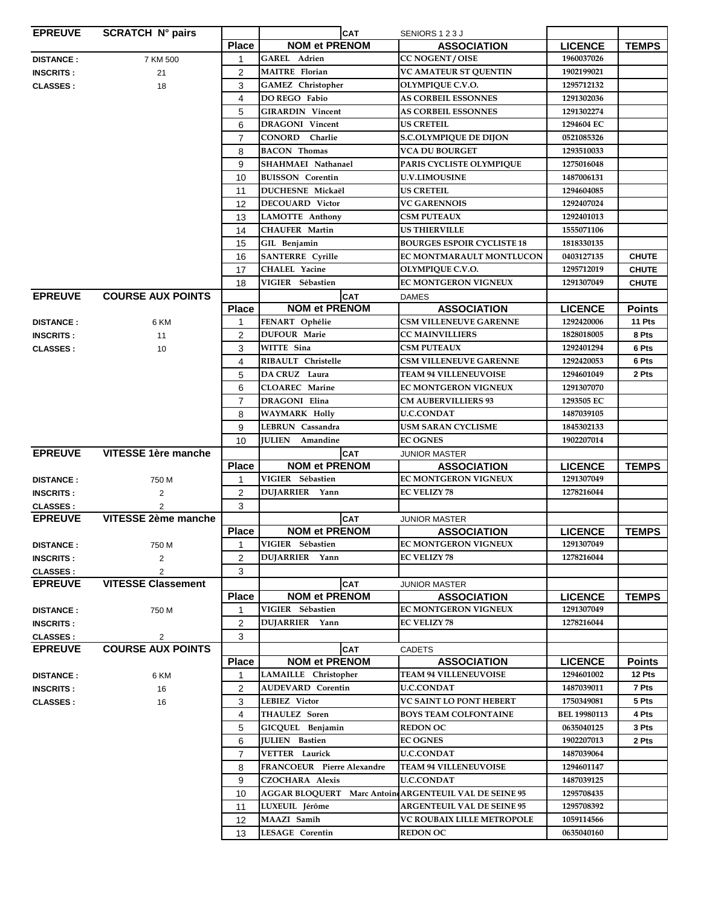| <b>EPREUVE</b>   | <b>SCRATCH N° pairs</b>   |                | <b>CAT</b>                                            | SENIORS 123J                      |                     |               |
|------------------|---------------------------|----------------|-------------------------------------------------------|-----------------------------------|---------------------|---------------|
|                  |                           | <b>Place</b>   | <b>NOM et PRENOM</b>                                  | <b>ASSOCIATION</b>                | <b>LICENCE</b>      | <b>TEMPS</b>  |
| <b>DISTANCE:</b> | 7 KM 500                  | 1              | <b>GAREL</b> Adrien                                   | <b>CC NOGENT/OISE</b>             | 1960037026          |               |
| <b>INSCRITS:</b> | 21                        | $\overline{c}$ | <b>MAITRE Florian</b>                                 | <b>VC AMATEUR ST QUENTIN</b>      | 1902199021          |               |
| <b>CLASSES:</b>  | 18                        | 3              | <b>GAMEZ</b> Christopher                              | OLYMPIQUE C.V.O.                  | 1295712132          |               |
|                  |                           | 4              | <b>DO REGO Fabio</b>                                  | <b>AS CORBEIL ESSONNES</b>        | 1291302036          |               |
|                  |                           | 5              | <b>GIRARDIN Vincent</b>                               | <b>AS CORBEIL ESSONNES</b>        | 1291302274          |               |
|                  |                           | 6              | <b>DRAGONI</b> Vincent                                | <b>US CRETEIL</b>                 | 1294604 EC          |               |
|                  |                           | $\overline{7}$ | CONORD Charlie                                        | <b>S.C.OLYMPIQUE DE DIJON</b>     | 0521085326          |               |
|                  |                           | 8              | <b>BACON Thomas</b>                                   | <b>VCA DU BOURGET</b>             | 1293510033          |               |
|                  |                           | 9              | SHAHMAEI Nathanael                                    | PARIS CYCLISTE OLYMPIQUE          | 1275016048          |               |
|                  |                           |                |                                                       | <b>U.V.LIMOUSINE</b>              |                     |               |
|                  |                           | 10             | <b>BUISSON</b> Corentin                               |                                   | 1487006131          |               |
|                  |                           | 11             | <b>DUCHESNE Mickaël</b>                               | <b>US CRETEIL</b>                 | 1294604085          |               |
|                  |                           | 12             | <b>DECOUARD</b> Victor                                | <b>VC GARENNOIS</b>               | 1292407024          |               |
|                  |                           | 13             | LAMOTTE Anthony                                       | <b>CSM PUTEAUX</b>                | 1292401013          |               |
|                  |                           | 14             | <b>CHAUFER Martin</b>                                 | <b>US THIERVILLE</b>              | 1555071106          |               |
|                  |                           | 15             | GIL Benjamin                                          | <b>BOURGES ESPOIR CYCLISTE 18</b> | 1818330135          |               |
|                  |                           | 16             | <b>SANTERRE</b> Cyrille                               | EC MONTMARAULT MONTLUCON          | 0403127135          | <b>CHUTE</b>  |
|                  |                           | 17             | CHALEL Yacine                                         | OLYMPIQUE C.V.O.                  | 1295712019          | <b>CHUTE</b>  |
|                  |                           | 18             | VIGIER Sébastien                                      | <b>EC MONTGERON VIGNEUX</b>       | 1291307049          | <b>CHUTE</b>  |
| <b>EPREUVE</b>   | <b>COURSE AUX POINTS</b>  |                | <b>CAT</b>                                            | <b>DAMES</b>                      |                     |               |
|                  |                           | <b>Place</b>   | <b>NOM et PRENOM</b>                                  | <b>ASSOCIATION</b>                | <b>LICENCE</b>      | <b>Points</b> |
| <b>DISTANCE:</b> | 6 KM                      | 1              | FENART Ophélie                                        | <b>CSM VILLENEUVE GARENNE</b>     | 1292420006          | 11 Pts        |
| <b>INSCRITS:</b> | 11                        | $\overline{2}$ | <b>DUFOUR Marie</b>                                   | <b>CC MAINVILLIERS</b>            | 1828018005          | 8 Pts         |
| <b>CLASSES:</b>  | 10                        | 3              | WITTE Sina                                            | <b>CSM PUTEAUX</b>                | 1292401294          | 6 Pts         |
|                  |                           | 4              | RIBAULT Christelle                                    | <b>CSM VILLENEUVE GARENNE</b>     | 1292420053          | 6 Pts         |
|                  |                           | 5              | DA CRUZ Laura                                         | <b>TEAM 94 VILLENEUVOISE</b>      | 1294601049          | 2 Pts         |
|                  |                           | 6              | <b>CLOAREC</b> Marine                                 | <b>EC MONTGERON VIGNEUX</b>       | 1291307070          |               |
|                  |                           | $\overline{7}$ | <b>DRAGONI</b> Elina                                  | <b>CM AUBERVILLIERS 93</b>        | 1293505 EC          |               |
|                  |                           | 8              | <b>WAYMARK Holly</b>                                  | <b>U.C.CONDAT</b>                 | 1487039105          |               |
|                  |                           | 9              | LEBRUN Cassandra                                      | <b>USM SARAN CYCLISME</b>         | 1845302133          |               |
|                  |                           | 10             | <b>JULIEN</b> Amandine                                | <b>EC OGNES</b>                   | 1902207014          |               |
| <b>EPREUVE</b>   | VITESSE 1ère manche       |                | <b>CAT</b>                                            | <b>JUNIOR MASTER</b>              |                     |               |
|                  |                           | <b>Place</b>   | <b>NOM et PRENOM</b>                                  | <b>ASSOCIATION</b>                | <b>LICENCE</b>      | <b>TEMPS</b>  |
| <b>DISTANCE:</b> | 750 M                     | 1              | VIGIER Sébastien                                      | <b>EC MONTGERON VIGNEUX</b>       | 1291307049          |               |
| <b>INSCRITS:</b> | 2                         | $\overline{2}$ | DUJARRIER Yann                                        | <b>EC VELIZY 78</b>               | 1278216044          |               |
| <b>CLASSES:</b>  | $\overline{2}$            | 3              |                                                       |                                   |                     |               |
| <b>EPREUVE</b>   | VITESSE 2ème manche       |                | <b>CAT</b>                                            | <b>JUNIOR MASTER</b>              |                     |               |
|                  |                           | <b>Place</b>   | <b>NOM et PRENOM</b>                                  | <b>ASSOCIATION</b>                | <b>LICENCE</b>      | <b>TEMPS</b>  |
| <b>DISTANCE:</b> | 750 M                     | 1              | VIGIER Sébastien                                      | EC MONTGERON VIGNEUX              | 1291307049          |               |
| <b>INSCRITS:</b> | 2                         | $\overline{c}$ | DUJARRIER Yann                                        | <b>EC VELIZY 78</b>               | 1278216044          |               |
| <b>CLASSES:</b>  | $\overline{2}$            | 3              |                                                       |                                   |                     |               |
| <b>EPREUVE</b>   | <b>VITESSE Classement</b> |                | <b>CAT</b>                                            | <b>JUNIOR MASTER</b>              |                     |               |
|                  |                           | <b>Place</b>   | <b>NOM et PRENOM</b>                                  | <b>ASSOCIATION</b>                | <b>LICENCE</b>      | <b>TEMPS</b>  |
| <b>DISTANCE:</b> | 750 M                     | 1              | VIGIER Sébastien                                      | <b>EC MONTGERON VIGNEUX</b>       | 1291307049          |               |
| <b>INSCRITS:</b> |                           | 2              | DUJARRIER Yann                                        | <b>EC VELIZY 78</b>               | 1278216044          |               |
| <b>CLASSES:</b>  | 2                         | 3              |                                                       |                                   |                     |               |
| <b>EPREUVE</b>   | <b>COURSE AUX POINTS</b>  |                | <b>CAT</b>                                            | <b>CADETS</b>                     |                     |               |
|                  |                           | <b>Place</b>   | <b>NOM et PRENOM</b>                                  | <b>ASSOCIATION</b>                | <b>LICENCE</b>      | <b>Points</b> |
| <b>DISTANCE:</b> | 6 KM                      | 1              | LAMAILLE Christopher                                  | <b>TEAM 94 VILLENEUVOISE</b>      | 1294601002          | 12 Pts        |
| <b>INSCRITS:</b> | 16                        | $\overline{2}$ | <b>AUDEVARD</b> Corentin                              | <b>U.C.CONDAT</b>                 | 1487039011          | 7 Pts         |
|                  |                           | 3              | LEBIEZ Victor                                         | <b>VC SAINT LO PONT HEBERT</b>    | 1750349081          | 5 Pts         |
| <b>CLASSES:</b>  | 16                        |                | <b>THAULEZ Soren</b>                                  | <b>BOYS TEAM COLFONTAINE</b>      | <b>BEL 19980113</b> | 4 Pts         |
|                  |                           | 4              | GICQUEL Benjamin                                      | <b>REDON OC</b>                   | 0635040125          | 3 Pts         |
|                  |                           | 5              | JULIEN Bastien                                        | <b>EC OGNES</b>                   | 1902207013          | 2 Pts         |
|                  |                           | 6              | <b>VETTER Laurick</b>                                 | <b>U.C.CONDAT</b>                 |                     |               |
|                  |                           | $\overline{7}$ |                                                       |                                   | 1487039064          |               |
|                  |                           | 8              | <b>FRANCOEUR</b> Pierre Alexandre                     | <b>TEAM 94 VILLENEUVOISE</b>      | 1294601147          |               |
|                  |                           | 9              | <b>CZOCHARA Alexis</b>                                | <b>U.C.CONDAT</b>                 | 1487039125          |               |
|                  |                           | 10             | AGGAR BLOQUERT Marc Antoin ARGENTEUIL VAL DE SEINE 95 |                                   | 1295708435          |               |
|                  |                           | 11             | LUXEUIL Jérôme                                        | <b>ARGENTEUIL VAL DE SEINE 95</b> | 1295708392          |               |
|                  |                           | 12             | MAAZI Samîh                                           | VC ROUBAIX LILLE METROPOLE        | 1059114566          |               |
|                  |                           | 13             | <b>LESAGE Corentin</b>                                | <b>REDON OC</b>                   | 0635040160          |               |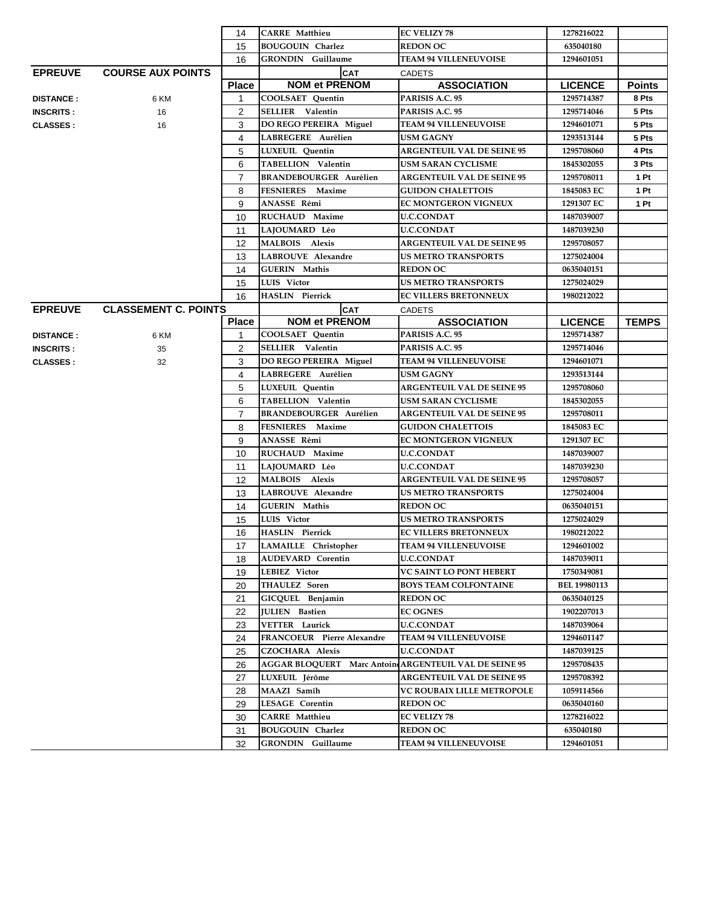|                  |                             | 14             | <b>CARRE</b> Matthieu                                 | <b>EC VELIZY 78</b>                                     | 1278216022                        |               |
|------------------|-----------------------------|----------------|-------------------------------------------------------|---------------------------------------------------------|-----------------------------------|---------------|
|                  |                             | 15             | <b>BOUGOUIN Charlez</b>                               | <b>REDON OC</b>                                         | 635040180                         |               |
|                  |                             | 16             | <b>GRONDIN</b> Guillaume                              | <b>TEAM 94 VILLENEUVOISE</b>                            | 1294601051                        |               |
| <b>EPREUVE</b>   | <b>COURSE AUX POINTS</b>    |                | <b>CAT</b>                                            | <b>CADETS</b>                                           |                                   |               |
|                  |                             | <b>Place</b>   | <b>NOM et PRENOM</b>                                  | <b>ASSOCIATION</b>                                      | <b>LICENCE</b>                    | <b>Points</b> |
| <b>DISTANCE:</b> | 6 KM                        | $\mathbf 1$    | <b>COOLSAET Ouentin</b>                               | PARISIS A.C. 95                                         | 1295714387                        | 8 Pts         |
| <b>INSCRITS:</b> | 16                          | 2              | <b>SELLIER</b> Valentin                               | PARISIS A.C. 95                                         | 1295714046                        | 5 Pts         |
| <b>CLASSES:</b>  | 16                          | 3              | DO REGO PEREIRA Miguel                                | <b>TEAM 94 VILLENEUVOISE</b>                            | 1294601071                        | 5 Pts         |
|                  |                             | 4              | LABREGERE Aurélien                                    | <b>USM GAGNY</b>                                        | 1293513144                        | 5 Pts         |
|                  |                             | 5              | LUXEUIL Quentin                                       | <b>ARGENTEUIL VAL DE SEINE 95</b>                       | 1295708060                        | 4 Pts         |
|                  |                             | 6              | TABELLION Valentin                                    | <b>USM SARAN CYCLISME</b>                               | 1845302055                        | 3 Pts         |
|                  |                             | $\overline{7}$ | <b>BRANDEBOURGER Aurélien</b>                         | <b>ARGENTEUIL VAL DE SEINE 95</b>                       | 1295708011                        | 1 Pt          |
|                  |                             | 8              | <b>FESNIERES</b> Maxime                               | <b>GUIDON CHALETTOIS</b>                                | 1845083 EC                        | 1 Pt          |
|                  |                             | 9              | ANASSE Rémi                                           | EC MONTGERON VIGNEUX                                    | 1291307 EC                        | 1 Pt          |
|                  |                             | 10             | <b>RUCHAUD Maxime</b>                                 | <b>U.C.CONDAT</b>                                       | 1487039007                        |               |
|                  |                             | 11             | LAJOUMARD Léo                                         | <b>U.C.CONDAT</b>                                       | 1487039230                        |               |
|                  |                             | 12             | <b>MALBOIS</b> Alexis                                 | <b>ARGENTEUIL VAL DE SEINE 95</b>                       | 1295708057                        |               |
|                  |                             | 13             | <b>LABROUVE Alexandre</b>                             | <b>US METRO TRANSPORTS</b>                              | 1275024004                        |               |
|                  |                             | 14             | <b>GUERIN</b> Mathis                                  | <b>REDON OC</b>                                         | 0635040151                        |               |
|                  |                             | 15             | LUIS Victor                                           | <b>US METRO TRANSPORTS</b>                              | 1275024029                        |               |
|                  |                             | 16             | <b>HASLIN Pierrick</b>                                | <b>EC VILLERS BRETONNEUX</b>                            | 1980212022                        |               |
| <b>EPREUVE</b>   | <b>CLASSEMENT C. POINTS</b> |                | <b>CAT</b>                                            | <b>CADETS</b>                                           |                                   |               |
|                  |                             | <b>Place</b>   | <b>NOM et PRENOM</b>                                  | <b>ASSOCIATION</b>                                      | <b>LICENCE</b>                    | <b>TEMPS</b>  |
| <b>DISTANCE:</b> | 6 KM                        | 1              | <b>COOLSAET Quentin</b>                               | PARISIS A.C. 95                                         | 1295714387                        |               |
| <b>INSCRITS:</b> | 35                          | $\overline{2}$ | <b>SELLIER</b> Valentin                               | PARISIS A.C. 95                                         | 1295714046                        |               |
| <b>CLASSES:</b>  | 32                          | 3              | DO REGO PEREIRA Miguel                                | <b>TEAM 94 VILLENEUVOISE</b>                            | 1294601071                        |               |
|                  |                             | $\overline{4}$ | LABREGERE Aurélien                                    | <b>USM GAGNY</b>                                        | 1293513144                        |               |
|                  |                             | 5              | LUXEUIL Quentin                                       | <b>ARGENTEUIL VAL DE SEINE 95</b>                       | 1295708060                        |               |
|                  |                             | 6              | TABELLION Valentin                                    | <b>USM SARAN CYCLISME</b>                               | 1845302055                        |               |
|                  |                             | $\overline{7}$ | <b>BRANDEBOURGER Aurélien</b>                         | <b>ARGENTEUIL VAL DE SEINE 95</b>                       | 1295708011                        |               |
|                  |                             | 8              | FESNIERES Maxime                                      | <b>GUIDON CHALETTOIS</b>                                | 1845083 EC                        |               |
|                  |                             | 9              | ANASSE Rémi                                           | <b>EC MONTGERON VIGNEUX</b>                             | 1291307 EC                        |               |
|                  |                             | 10             | RUCHAUD Maxime                                        | <b>U.C.CONDAT</b>                                       | 1487039007                        |               |
|                  |                             | 11             | LAJOUMARD Léo                                         | <b>U.C.CONDAT</b>                                       | 1487039230                        |               |
|                  |                             | 12             | MALBOIS Alexis                                        | <b>ARGENTEUIL VAL DE SEINE 95</b>                       | 1295708057                        |               |
|                  |                             | 13             | LABROUVE Alexandre                                    | <b>US METRO TRANSPORTS</b>                              | 1275024004                        |               |
|                  |                             | 14             | <b>GUERIN</b> Mathis                                  | <b>REDON OC</b>                                         | 0635040151                        |               |
|                  |                             | 15             | LUIS Victor                                           | <b>US METRO TRANSPORTS</b>                              | 1275024029                        |               |
|                  |                             | 16             | <b>HASLIN</b> Pierrick                                | EC VILLERS BRETONNEUX                                   | 1980212022                        |               |
|                  |                             | 17             | LAMAILLE Christopher                                  | <b>TEAM 94 VILLENEUVOISE</b>                            | 1294601002                        |               |
|                  |                             | 18             | <b>AUDEVARD</b> Corentin                              | <b>U.C.CONDAT</b>                                       | 1487039011                        |               |
|                  |                             | 19             | LEBIEZ Victor<br><b>THAULEZ</b> Soren                 | VC SAINT LO PONT HEBERT<br><b>BOYS TEAM COLFONTAINE</b> | 1750349081<br><b>BEL 19980113</b> |               |
|                  |                             | 20             |                                                       | <b>REDON OC</b>                                         | 0635040125                        |               |
|                  |                             | 21<br>22       | GICQUEL Benjamin<br>JULIEN Bastien                    | <b>EC OGNES</b>                                         | 1902207013                        |               |
|                  |                             | 23             | <b>VETTER</b> Laurick                                 | <b>U.C.CONDAT</b>                                       | 1487039064                        |               |
|                  |                             | 24             | FRANCOEUR Pierre Alexandre                            | <b>TEAM 94 VILLENEUVOISE</b>                            | 1294601147                        |               |
|                  |                             | 25             | <b>CZOCHARA Alexis</b>                                | <b>U.C.CONDAT</b>                                       | 1487039125                        |               |
|                  |                             | 26             | AGGAR BLOQUERT Marc Antoin ARGENTEUIL VAL DE SEINE 95 |                                                         | 1295708435                        |               |
|                  |                             | 27             | LUXEUIL Jérôme                                        | <b>ARGENTEUIL VAL DE SEINE 95</b>                       | 1295708392                        |               |
|                  |                             | 28             | MAAZI Samîh                                           | VC ROUBAIX LILLE METROPOLE                              | 1059114566                        |               |
|                  |                             | 29             | <b>LESAGE Corentin</b>                                | <b>REDON OC</b>                                         | 0635040160                        |               |
|                  |                             | 30             | <b>CARRE</b> Matthieu                                 | <b>EC VELIZY 78</b>                                     | 1278216022                        |               |
|                  |                             | 31             | <b>BOUGOUIN Charlez</b>                               | <b>REDON OC</b>                                         | 635040180                         |               |
|                  |                             | 32             | <b>GRONDIN</b> Guillaume                              | <b>TEAM 94 VILLENEUVOISE</b>                            | 1294601051                        |               |
|                  |                             |                |                                                       |                                                         |                                   |               |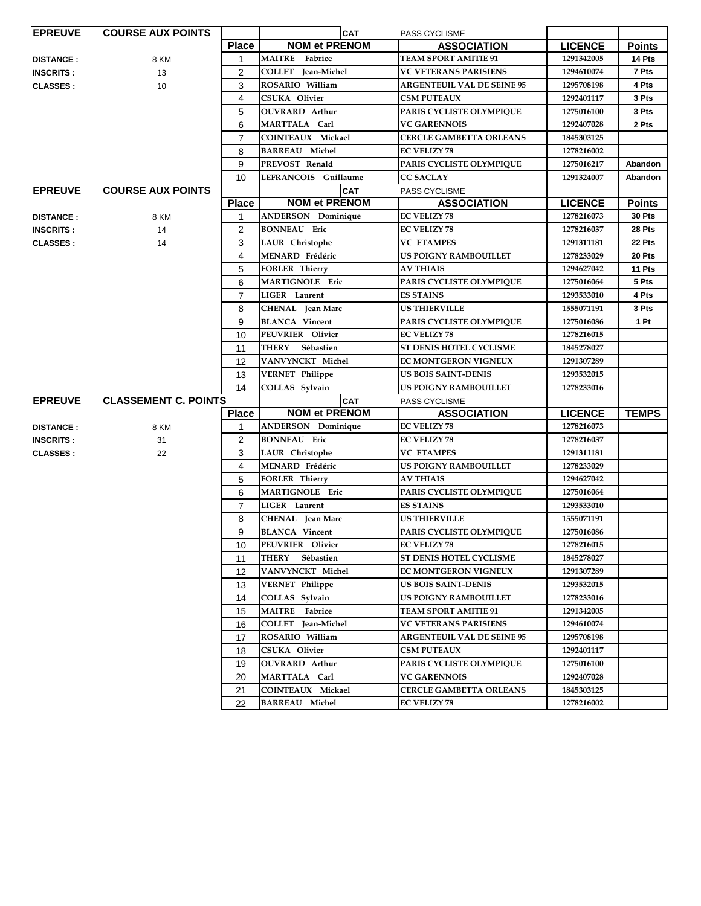| <b>EPREUVE</b>   | <b>COURSE AUX POINTS</b>    |                | <b>CAT</b>                | PASS CYCLISME                     |                |               |
|------------------|-----------------------------|----------------|---------------------------|-----------------------------------|----------------|---------------|
|                  |                             | <b>Place</b>   | <b>NOM et PRENOM</b>      | <b>ASSOCIATION</b>                | <b>LICENCE</b> | <b>Points</b> |
| <b>DISTANCE:</b> | 8 KM                        | 1              | <b>MAITRE</b> Fabrice     | <b>TEAM SPORT AMITIE 91</b>       | 1291342005     | 14 Pts        |
| <b>INSCRITS:</b> | 13                          | 2              | COLLET Jean-Michel        | <b>VC VETERANS PARISIENS</b>      | 1294610074     | 7 Pts         |
| <b>CLASSES:</b>  | 10                          | 3              | ROSARIO William           | <b>ARGENTEUIL VAL DE SEINE 95</b> | 1295708198     | 4 Pts         |
|                  |                             | 4              | <b>CSUKA Olivier</b>      | <b>CSM PUTEAUX</b>                | 1292401117     | 3 Pts         |
|                  |                             | 5              | <b>OUVRARD</b> Arthur     | PARIS CYCLISTE OLYMPIQUE          | 1275016100     | 3 Pts         |
|                  |                             | 6              | MARTTALA Carl             | <b>VC GARENNOIS</b>               | 1292407028     | 2 Pts         |
|                  |                             | $\overline{7}$ | <b>COINTEAUX Mickael</b>  | <b>CERCLE GAMBETTA ORLEANS</b>    | 1845303125     |               |
|                  |                             | 8              | <b>BARREAU Michel</b>     | <b>EC VELIZY 78</b>               | 1278216002     |               |
|                  |                             | 9              | PREVOST Renald            | PARIS CYCLISTE OLYMPIQUE          | 1275016217     | Abandon       |
|                  |                             | 10             | LEFRANCOIS Guillaume      | CC SACLAY                         | 1291324007     | Abandon       |
| <b>EPREUVE</b>   | <b>COURSE AUX POINTS</b>    |                | <b>CAT</b>                | PASS CYCLISME                     |                |               |
|                  |                             | <b>Place</b>   | <b>NOM et PRENOM</b>      | <b>ASSOCIATION</b>                | <b>LICENCE</b> | <b>Points</b> |
| <b>DISTANCE:</b> | 8 KM                        | 1              | <b>ANDERSON</b> Dominique | <b>EC VELIZY 78</b>               | 1278216073     | 30 Pts        |
| <b>INSCRITS:</b> | 14                          | $\overline{2}$ | <b>BONNEAU</b> Eric       | <b>EC VELIZY 78</b>               | 1278216037     | 28 Pts        |
| <b>CLASSES:</b>  | 14                          | 3              | LAUR Christophe           | <b>VC ETAMPES</b>                 | 1291311181     | 22 Pts        |
|                  |                             | 4              | MENARD Frédéric           | <b>US POIGNY RAMBOUILLET</b>      | 1278233029     | 20 Pts        |
|                  |                             | 5              | <b>FORLER Thierry</b>     | <b>AV THIAIS</b>                  | 1294627042     | 11 Pts        |
|                  |                             | 6              | <b>MARTIGNOLE</b> Eric    | PARIS CYCLISTE OLYMPIQUE          | 1275016064     | 5 Pts         |
|                  |                             | $\overline{7}$ | <b>LIGER</b> Laurent      | <b>ES STAINS</b>                  | 1293533010     | 4 Pts         |
|                  |                             | 8              | CHENAL Jean Marc          | <b>US THIERVILLE</b>              | 1555071191     | 3 Pts         |
|                  |                             | 9              | <b>BLANCA</b> Vincent     | PARIS CYCLISTE OLYMPIQUE          | 1275016086     | 1 Pt          |
|                  |                             | 10             | PEUVRIER Olivier          | <b>EC VELIZY 78</b>               | 1278216015     |               |
|                  |                             | 11             | THERY Sébastien           | ST DENIS HOTEL CYCLISME           | 1845278027     |               |
|                  |                             | 12             | VANVYNCKT Michel          | <b>EC MONTGERON VIGNEUX</b>       | 1291307289     |               |
|                  |                             | 13             | <b>VERNET Philippe</b>    | <b>US BOIS SAINT-DENIS</b>        | 1293532015     |               |
|                  |                             | 14             | COLLAS Sylvain            | US POIGNY RAMBOUILLET             | 1278233016     |               |
| <b>EPREUVE</b>   | <b>CLASSEMENT C. POINTS</b> |                | <b>CAT</b>                | <b>PASS CYCLISME</b>              |                |               |
|                  |                             | <b>Place</b>   | <b>NOM et PRENOM</b>      | <b>ASSOCIATION</b>                | <b>LICENCE</b> | <b>TEMPS</b>  |
| <b>DISTANCE:</b> | 8 KM                        | 1              | <b>ANDERSON</b> Dominique | <b>EC VELIZY 78</b>               | 1278216073     |               |
| <b>INSCRITS:</b> | 31                          | $\overline{2}$ | <b>BONNEAU</b> Eric       | <b>EC VELIZY 78</b>               | 1278216037     |               |
| <b>CLASSES:</b>  | 22                          | 3              | LAUR Christophe           | <b>VC ETAMPES</b>                 | 1291311181     |               |
|                  |                             | $\overline{4}$ | MENARD Frédéric           | US POIGNY RAMBOUILLET             | 1278233029     |               |
|                  |                             | 5              | <b>FORLER Thierry</b>     | <b>AV THIAIS</b>                  | 1294627042     |               |
|                  |                             | 6              | MARTIGNOLE Eric           | PARIS CYCLISTE OLYMPIQUE          | 1275016064     |               |
|                  |                             | $\overline{7}$ | LIGER Laurent             | <b>ES STAINS</b>                  | 1293533010     |               |
|                  |                             | 8              | <b>CHENAL</b> Jean Marc   | <b>US THIERVILLE</b>              | 1555071191     |               |
|                  |                             | 9              | <b>BLANCA</b> Vincent     | PARIS CYCLISTE OLYMPIQUE          | 1275016086     |               |
|                  |                             | 10             | PEUVRIER Olivier          | <b>EC VELIZY 78</b>               | 1278216015     |               |
|                  |                             | 11             | THERY Sébastien           | <b>ST DENIS HOTEL CYCLISME</b>    | 1845278027     |               |
|                  |                             | 12             | VANVYNCKT Michel          | <b>EC MONTGERON VIGNEUX</b>       | 1291307289     |               |
|                  |                             |                |                           |                                   |                |               |
|                  |                             | 13             | <b>VERNET Philippe</b>    | <b>US BOIS SAINT-DENIS</b>        | 1293532015     |               |
|                  |                             | 14             | COLLAS Sylvain            | US POIGNY RAMBOUILLET             | 1278233016     |               |
|                  |                             | 15             | <b>MAITRE</b> Fabrice     | <b>TEAM SPORT AMITIE 91</b>       | 1291342005     |               |
|                  |                             | 16             | COLLET Jean-Michel        | <b>VC VETERANS PARISIENS</b>      | 1294610074     |               |
|                  |                             | 17             | ROSARIO William           | <b>ARGENTEUIL VAL DE SEINE 95</b> | 1295708198     |               |
|                  |                             | 18             | <b>CSUKA Olivier</b>      | <b>CSM PUTEAUX</b>                | 1292401117     |               |
|                  |                             | 19             | <b>OUVRARD</b> Arthur     | PARIS CYCLISTE OLYMPIQUE          | 1275016100     |               |
|                  |                             | 20             | MARTTALA Carl             | <b>VC GARENNOIS</b>               | 1292407028     |               |
|                  |                             | 21             | <b>COINTEAUX Mickael</b>  | <b>CERCLE GAMBETTA ORLEANS</b>    | 1845303125     |               |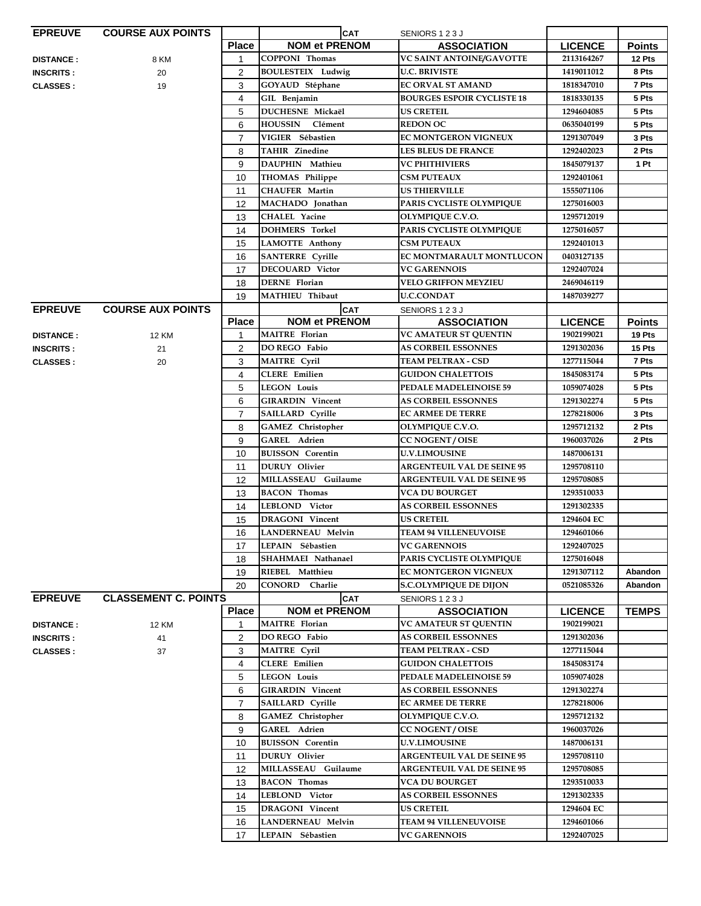| <b>EPREUVE</b>   | <b>COURSE AUX POINTS</b>    |                | <b>CAT</b>                                    | SENIORS 123J                                        |                          |               |
|------------------|-----------------------------|----------------|-----------------------------------------------|-----------------------------------------------------|--------------------------|---------------|
|                  |                             | <b>Place</b>   | <b>NOM et PRENOM</b>                          | <b>ASSOCIATION</b>                                  | <b>LICENCE</b>           | <b>Points</b> |
| <b>DISTANCE:</b> | 8 KM                        | $\mathbf 1$    | <b>COPPONI</b> Thomas                         | VC SAINT ANTOINE/GAVOTTE                            | 2113164267               | 12 Pts        |
| <b>INSCRITS:</b> | 20                          | $\overline{2}$ | <b>BOULESTEIX</b> Ludwig                      | <b>U.C. BRIVISTE</b>                                | 1419011012               | 8 Pts         |
| <b>CLASSES:</b>  | 19                          | 3              | GOYAUD Stéphane                               | EC ORVAL ST AMAND                                   | 1818347010               | 7 Pts         |
|                  |                             | 4              | GIL Benjamin                                  | <b>BOURGES ESPOIR CYCLISTE 18</b>                   | 1818330135               | 5 Pts         |
|                  |                             | 5              | DUCHESNE Mickaël                              | <b>US CRETEIL</b>                                   | 1294604085               | 5 Pts         |
|                  |                             | 6              | <b>HOUSSIN</b><br>Clément                     | <b>REDON OC</b>                                     | 0635040199               | 5 Pts         |
|                  |                             | 7              | VIGIER Sébastien                              | <b>EC MONTGERON VIGNEUX</b>                         | 1291307049               | 3 Pts         |
|                  |                             | 8              | <b>TAHIR Zinedine</b>                         | <b>LES BLEUS DE FRANCE</b>                          | 1292402023               | 2 Pts         |
|                  |                             | 9              | DAUPHIN Mathieu                               | <b>VC PHITHIVIERS</b>                               | 1845079137               | 1 Pt          |
|                  |                             |                | THOMAS Philippe                               | <b>CSM PUTEAUX</b>                                  | 1292401061               |               |
|                  |                             | 10             | <b>CHAUFER Martin</b>                         | <b>US THIERVILLE</b>                                | 1555071106               |               |
|                  |                             | 11             |                                               |                                                     |                          |               |
|                  |                             | 12             | MACHADO Jonathan                              | PARIS CYCLISTE OLYMPIQUE                            | 1275016003               |               |
|                  |                             | 13             | <b>CHALEL Yacine</b><br><b>DOHMERS</b> Torkel | <b>OLYMPIQUE C.V.O.</b><br>PARIS CYCLISTE OLYMPIQUE | 1295712019<br>1275016057 |               |
|                  |                             | 14<br>15       | <b>LAMOTTE Anthony</b>                        | <b>CSM PUTEAUX</b>                                  | 1292401013               |               |
|                  |                             | 16             | <b>SANTERRE</b> Cyrille                       | EC MONTMARAULT MONTLUCON                            | 0403127135               |               |
|                  |                             | 17             | <b>DECOUARD Victor</b>                        | <b>VC GARENNOIS</b>                                 | 1292407024               |               |
|                  |                             |                | <b>DERNE</b> Florian                          | <b>VELO GRIFFON MEYZIEU</b>                         | 2469046119               |               |
|                  |                             | 18<br>19       | <b>MATHIEU Thibaut</b>                        | <b>U.C.CONDAT</b>                                   | 1487039277               |               |
| <b>EPREUVE</b>   | <b>COURSE AUX POINTS</b>    |                | <b>CAT</b>                                    | SENIORS 1 2 3 J                                     |                          |               |
|                  |                             | <b>Place</b>   | <b>NOM et PRENOM</b>                          | <b>ASSOCIATION</b>                                  | <b>LICENCE</b>           | <b>Points</b> |
| <b>DISTANCE:</b> | <b>12 KM</b>                | 1              | <b>MAITRE</b> Florian                         | <b>VC AMATEUR ST QUENTIN</b>                        | 1902199021               | 19 Pts        |
| <b>INSCRITS:</b> | 21                          | $\overline{c}$ | DO REGO Fabio                                 | <b>AS CORBEIL ESSONNES</b>                          | 1291302036               | 15 Pts        |
| <b>CLASSES:</b>  | 20                          | 3              | <b>MAITRE Cyril</b>                           | <b>TEAM PELTRAX - CSD</b>                           | 1277115044               | 7 Pts         |
|                  |                             | 4              | <b>CLERE</b> Emilien                          | <b>GUIDON CHALETTOIS</b>                            | 1845083174               | 5 Pts         |
|                  |                             | 5              | <b>LEGON Louis</b>                            | PEDALE MADELEINOISE 59                              | 1059074028               | 5 Pts         |
|                  |                             | 6              | <b>GIRARDIN Vincent</b>                       | <b>AS CORBEIL ESSONNES</b>                          | 1291302274               | 5 Pts         |
|                  |                             | $\overline{7}$ | SAILLARD Cyrille                              | <b>EC ARMEE DE TERRE</b>                            | 1278218006               | 3 Pts         |
|                  |                             | 8              | <b>GAMEZ</b> Christopher                      | OLYMPIQUE C.V.O.                                    | 1295712132               | 2 Pts         |
|                  |                             | 9              | GAREL Adrien                                  | <b>CC NOGENT/OISE</b>                               | 1960037026               | 2 Pts         |
|                  |                             | 10             | <b>BUISSON</b> Corentin                       | <b>U.V.LIMOUSINE</b>                                | 1487006131               |               |
|                  |                             | 11             | DURUY Olivier                                 | <b>ARGENTEUIL VAL DE SEINE 95</b>                   | 1295708110               |               |
|                  |                             | 12             | MILLASSEAU Guilaume                           | <b>ARGENTEUIL VAL DE SEINE 95</b>                   | 1295708085               |               |
|                  |                             | 13             | <b>BACON</b> Thomas                           | <b>VCA DU BOURGET</b>                               | 1293510033               |               |
|                  |                             | 14             | LEBLOND Victor                                | <b>AS CORBEIL ESSONNES</b>                          | 1291302335               |               |
|                  |                             | 15             | <b>DRAGONI</b> Vincent                        | US CRETEIL                                          | 1294604 EC               |               |
|                  |                             | 16             | LANDERNEAU Melvin                             | <b>TEAM 94 VILLENEUVOISE</b>                        | 1294601066               |               |
|                  |                             | 17             | LEPAIN Sébastien                              | <b>VC GARENNOIS</b>                                 | 1292407025               |               |
|                  |                             | 18             | SHAHMAEI Nathanael                            | PARIS CYCLISTE OLYMPIQUE                            | 1275016048               |               |
|                  |                             | 19             | RIEBEL Matthieu                               | <b>EC MONTGERON VIGNEUX</b>                         | 1291307112               | Abandon       |
|                  |                             | 20             | CONORD Charlie                                | <b>S.C.OLYMPIOUE DE DIJON</b>                       | 0521085326               | Abandon       |
| <b>EPREUVE</b>   | <b>CLASSEMENT C. POINTS</b> |                | <b>CAT</b>                                    | SENIORS 123J                                        |                          |               |
|                  |                             | <b>Place</b>   | <b>NOM et PRENOM</b>                          | <b>ASSOCIATION</b>                                  | <b>LICENCE</b>           | <b>TEMPS</b>  |
| <b>DISTANCE:</b> | 12 KM                       | 1              | <b>MAITRE</b> Florian                         | VC AMATEUR ST QUENTIN                               | 1902199021               |               |
| <b>INSCRITS:</b> | 41                          | $\overline{2}$ | DO REGO Fabio                                 | <b>AS CORBEIL ESSONNES</b>                          | 1291302036               |               |
| <b>CLASSES:</b>  | 37                          | 3              | <b>MAITRE Cyril</b>                           | <b>TEAM PELTRAX - CSD</b>                           | 1277115044               |               |
|                  |                             | 4              | <b>CLERE</b> Emilien                          | <b>GUIDON CHALETTOIS</b>                            | 1845083174               |               |
|                  |                             | 5              | <b>LEGON Louis</b>                            | <b>PEDALE MADELEINOISE 59</b>                       | 1059074028               |               |
|                  |                             | 6              | <b>GIRARDIN Vincent</b>                       | <b>AS CORBEIL ESSONNES</b>                          | 1291302274               |               |
|                  |                             | $\overline{7}$ | SAILLARD Cyrille<br><b>GAMEZ</b> Christopher  | <b>EC ARMEE DE TERRE</b>                            | 1278218006<br>1295712132 |               |
|                  |                             | 8<br>9         | GAREL Adrien                                  | OLYMPIQUE C.V.O.<br><b>CC NOGENT/OISE</b>           | 1960037026               |               |
|                  |                             | 10             | <b>BUISSON</b> Corentin                       | <b>U.V.LIMOUSINE</b>                                | 1487006131               |               |
|                  |                             | 11             | <b>DURUY</b> Olivier                          | <b>ARGENTEUIL VAL DE SEINE 95</b>                   | 1295708110               |               |
|                  |                             | 12             | MILLASSEAU Guilaume                           | <b>ARGENTEUIL VAL DE SEINE 95</b>                   | 1295708085               |               |
|                  |                             | 13             | <b>BACON Thomas</b>                           | VCA DU BOURGET                                      | 1293510033               |               |
|                  |                             | 14             | LEBLOND Victor                                | <b>AS CORBEIL ESSONNES</b>                          | 1291302335               |               |
|                  |                             | 15             | <b>DRAGONI</b> Vincent                        | <b>US CRETEIL</b>                                   | 1294604 EC               |               |
|                  |                             | 16             | LANDERNEAU Melvin                             | <b>TEAM 94 VILLENEUVOISE</b>                        | 1294601066               |               |
|                  |                             | 17             | LEPAIN Sébastien                              | <b>VC GARENNOIS</b>                                 | 1292407025               |               |